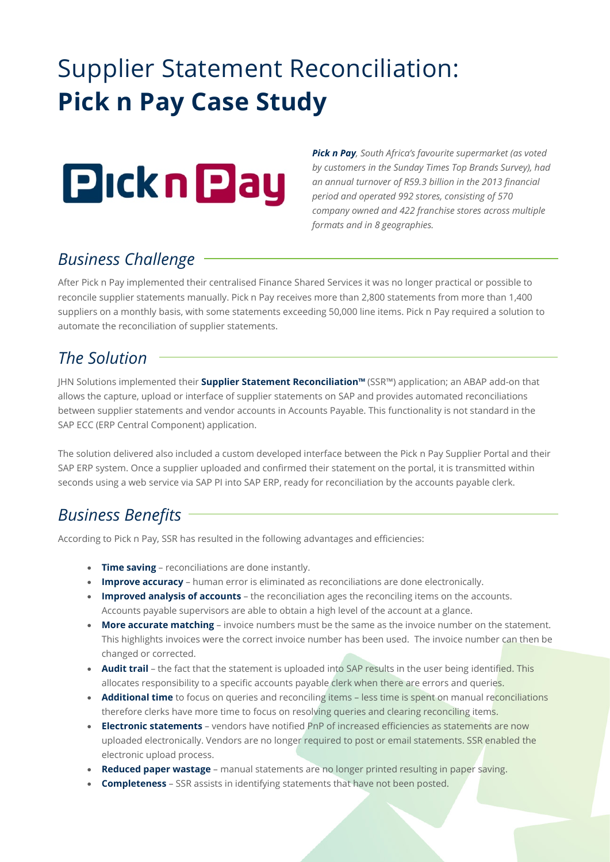# Supplier Statement Reconciliation: **Pick n Pay Case Study**



*Pick n Pay, South Africa's favourite supermarket (as voted by customers in the Sunday Times Top Brands Survey), had an annual turnover of R59.3 billion in the 2013 financial period and operated 992 stores, consisting of 570 company owned and 422 franchise stores across multiple formats and in 8 geographies.*

## *Business Challenge*

After Pick n Pay implemented their centralised Finance Shared Services it was no longer practical or possible to reconcile supplier statements manually. Pick n Pay receives more than 2,800 statements from more than 1,400 suppliers on a monthly basis, with some statements exceeding 50,000 line items. Pick n Pay required a solution to automate the reconciliation of supplier statements.

#### *The Solution*

JHN Solutions implemented their **Supplier Statement Reconciliation™** (SSR™) application; an ABAP add-on that allows the capture, upload or interface of supplier statements on SAP and provides automated reconciliations between supplier statements and vendor accounts in Accounts Payable. This functionality is not standard in the SAP ECC (ERP Central Component) application.

The solution delivered also included a custom developed interface between the Pick n Pay Supplier Portal and their SAP ERP system. Once a supplier uploaded and confirmed their statement on the portal, it is transmitted within seconds using a web service via SAP PI into SAP ERP, ready for reconciliation by the accounts payable clerk.

## *Business Benefits*

According to Pick n Pay, SSR has resulted in the following advantages and efficiencies:

- **Time saving** reconciliations are done instantly.
- **Improve accuracy** human error is eliminated as reconciliations are done electronically.
- **Improved analysis of accounts** the reconciliation ages the reconciling items on the accounts. Accounts payable supervisors are able to obtain a high level of the account at a glance.
- **More accurate matching** invoice numbers must be the same as the invoice number on the statement. This highlights invoices were the correct invoice number has been used. The invoice number can then be changed or corrected.
- **Audit trail** the fact that the statement is uploaded into SAP results in the user being identified. This allocates responsibility to a specific accounts payable clerk when there are errors and queries.
- **Additional time** to focus on queries and reconciling items less time is spent on manual reconciliations therefore clerks have more time to focus on resolving queries and clearing reconciling items.
- **Electronic statements** vendors have notified PnP of increased efficiencies as statements are now uploaded electronically. Vendors are no longer required to post or email statements. SSR enabled the electronic upload process.
- **Reduced paper wastage** manual statements are no longer printed resulting in paper saving.
- **Completeness** SSR assists in identifying statements that have not been posted.